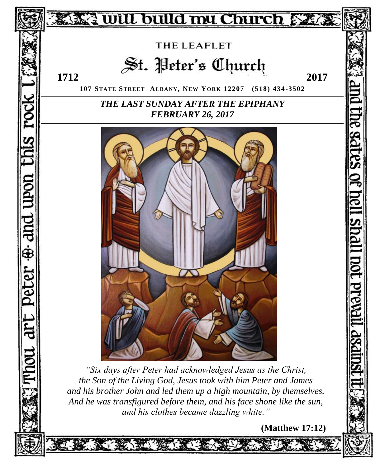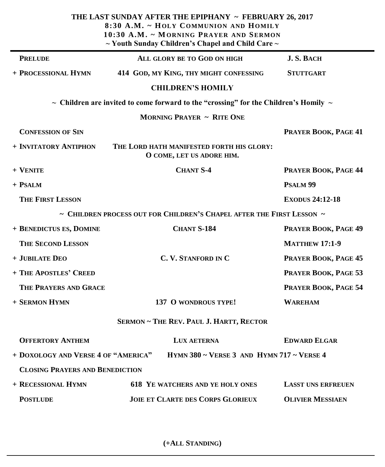| THE LAST SUNDAY AFTER THE EPIPHANY ~ FEBRUARY 26, 2017<br>8:30 A.M. ~ HOLY COMMUNION AND HOMILY<br>10:30 A.M. ~ MORNING PRAYER AND SERMON<br>$\sim$ Youth Sunday Children's Chapel and Child Care $\sim$ |                                                                                                |                           |
|----------------------------------------------------------------------------------------------------------------------------------------------------------------------------------------------------------|------------------------------------------------------------------------------------------------|---------------------------|
| <b>PRELUDE</b>                                                                                                                                                                                           | ALL GLORY BE TO GOD ON HIGH                                                                    | <b>J. S. BACH</b>         |
| + PROCESSIONAL HYMN                                                                                                                                                                                      | 414 GOD, MY KING, THY MIGHT CONFESSING                                                         | <b>STUTTGART</b>          |
|                                                                                                                                                                                                          | <b>CHILDREN'S HOMILY</b>                                                                       |                           |
|                                                                                                                                                                                                          | $\sim$ Children are invited to come forward to the "crossing" for the Children's Homily $\sim$ |                           |
|                                                                                                                                                                                                          | <b>MORNING PRAYER ~ RITE ONE</b>                                                               |                           |
| <b>CONFESSION OF SIN</b>                                                                                                                                                                                 |                                                                                                | PRAYER BOOK, PAGE 41      |
| + INVITATORY ANTIPHON                                                                                                                                                                                    | THE LORD HATH MANIFESTED FORTH HIS GLORY:<br>O COME, LET US ADORE HIM.                         |                           |
| $+$ VENITE                                                                                                                                                                                               | <b>CHANT S-4</b>                                                                               | PRAYER BOOK, PAGE 44      |
| $+$ PSALM                                                                                                                                                                                                |                                                                                                | PSALM <sub>99</sub>       |
| <b>THE FIRST LESSON</b>                                                                                                                                                                                  |                                                                                                | <b>EXODUS 24:12-18</b>    |
|                                                                                                                                                                                                          | $\sim$ CHILDREN PROCESS OUT FOR CHILDREN'S CHAPEL AFTER THE FIRST LESSON $\sim$                |                           |
| + BENEDICTUS ES, DOMINE                                                                                                                                                                                  | <b>CHANT S-184</b>                                                                             | PRAYER BOOK, PAGE 49      |
| <b>THE SECOND LESSON</b>                                                                                                                                                                                 |                                                                                                | <b>MATTHEW 17:1-9</b>     |
| + JUBILATE DEO                                                                                                                                                                                           | C. V. STANFORD IN C                                                                            | PRAYER BOOK, PAGE 45      |
| + THE APOSTLES' CREED                                                                                                                                                                                    |                                                                                                | PRAYER BOOK, PAGE 53      |
| THE PRAYERS AND GRACE                                                                                                                                                                                    |                                                                                                | PRAYER BOOK, PAGE 54      |
| + SERMON HYMN                                                                                                                                                                                            | 137 O WONDROUS TYPE!                                                                           | <b>WAREHAM</b>            |
| SERMON ~ THE REV. PAUL J. HARTT, RECTOR                                                                                                                                                                  |                                                                                                |                           |
| <b>OFFERTORY ANTHEM</b>                                                                                                                                                                                  | LUX AETERNA                                                                                    | <b>EDWARD ELGAR</b>       |
| + DOXOLOGY AND VERSE 4 OF "AMERICA"                                                                                                                                                                      | HYMN 380 $\sim$ VERSE 3 AND HYMN 717 $\sim$ VERSE 4                                            |                           |
| <b>CLOSING PRAYERS AND BENEDICTION</b>                                                                                                                                                                   |                                                                                                |                           |
| + RECESSIONAL HYMN                                                                                                                                                                                       | <b>618 YE WATCHERS AND YE HOLY ONES</b>                                                        | <b>LASST UNS ERFREUEN</b> |
| <b>POSTLUDE</b>                                                                                                                                                                                          | <b>JOIE ET CLARTE DES CORPS GLORIEUX</b>                                                       | <b>OLIVIER MESSIAEN</b>   |

**(+ALL STANDING)**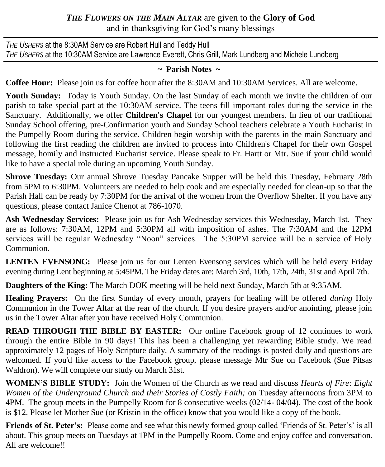# *THE FLOWERS ON THE MAIN ALTAR* are given to the **Glory of God** and in thanksgiving for God's many blessings

*THE USHERS* at the 8:30AM Service are Robert Hull and Teddy Hull *THE USHERS* at the 10:30AM Service are Lawrence Everett, Chris Grill, Mark Lundberg and Michele Lundberg

## **~ Parish Notes ~**

**Coffee Hour:** Please join us for coffee hour after the 8:30AM and 10:30AM Services. All are welcome.

**Youth Sunday:** Today is Youth Sunday. On the last Sunday of each month we invite the children of our parish to take special part at the 10:30AM service. The teens fill important roles during the service in the Sanctuary. Additionally, we offer **Children's Chapel** for our youngest members. In lieu of our traditional Sunday School offering, pre-Confirmation youth and Sunday School teachers celebrate a Youth Eucharist in the Pumpelly Room during the service. Children begin worship with the parents in the main Sanctuary and following the first reading the children are invited to process into Children's Chapel for their own Gospel message, homily and instructed Eucharist service. Please speak to Fr. Hartt or Mtr. Sue if your child would like to have a special role during an upcoming Youth Sunday.

**Shrove Tuesday:** Our annual Shrove Tuesday Pancake Supper will be held this Tuesday, February 28th from 5PM to 6:30PM. Volunteers are needed to help cook and are especially needed for clean-up so that the Parish Hall can be ready by 7:30PM for the arrival of the women from the Overflow Shelter. If you have any questions, please contact Janice Chenot at 786-1070.

**Ash Wednesday Services:** Please join us for Ash Wednesday services this Wednesday, March 1st. They are as follows: 7:30AM, 12PM and 5:30PM all with imposition of ashes. The 7:30AM and the 12PM services will be regular Wednesday "Noon" services. The 5:30PM service will be a service of Holy Communion.

LENTEN EVENSONG: Please join us for our Lenten Evensong services which will be held every Friday evening during Lent beginning at 5:45PM. The Friday dates are: March 3rd, 10th, 17th, 24th, 31st and April 7th.

**Daughters of the King:** The March DOK meeting will be held next Sunday, March 5th at 9:35AM.

**Healing Prayers:** On the first Sunday of every month, prayers for healing will be offered *during* Holy Communion in the Tower Altar at the rear of the church. If you desire prayers and/or anointing, please join us in the Tower Altar after you have received Holy Communion.

**READ THROUGH THE BIBLE BY EASTER:** Our online Facebook group of 12 continues to work through the entire Bible in 90 days! This has been a challenging yet rewarding Bible study. We read approximately 12 pages of Holy Scripture daily. A summary of the readings is posted daily and questions are welcomed. If you'd like access to the Facebook group, please message Mtr Sue on Facebook (Sue Pitsas Waldron). We will complete our study on March 31st.

**WOMEN'S BIBLE STUDY:** Join the Women of the Church as we read and discuss *Hearts of Fire: Eight Women of the Underground Church and their Stories of Costly Faith;* on Tuesday afternoons from 3PM to 4PM. The group meets in the Pumpelly Room for 8 consecutive weeks (02/14- 04/04). The cost of the book is \$12. Please let Mother Sue (or Kristin in the office) know that you would like a copy of the book.

**Friends of St. Peter's:** Please come and see what this newly formed group called 'Friends of St. Peter's' is all about. This group meets on Tuesdays at 1PM in the Pumpelly Room. Come and enjoy coffee and conversation. All are welcome!!